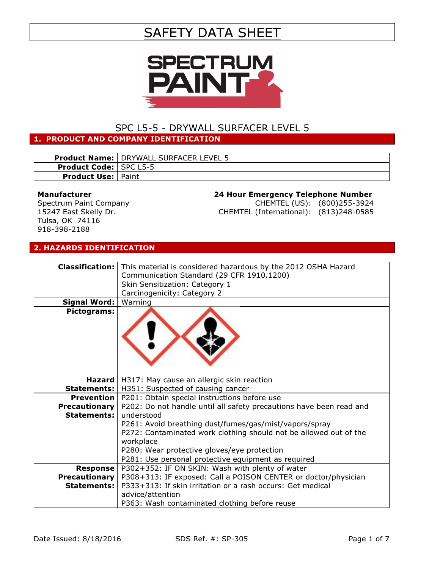# SAFETY DATA SHEET



## SPC L5-5 - DRYWALL SURFACER LEVEL 5

#### 1. PRODUCT AND COMPANY IDENTIFICATION

|                                 | <b>Product Name:   DRYWALL SURFACER LEVEL 5</b> |
|---------------------------------|-------------------------------------------------|
| <b>Product Code:   SPC L5-5</b> |                                                 |
| <b>Product Use:   Paint</b>     |                                                 |

#### Manufacturer

Spectrum Paint Company 15247 East Skelly Dr. Tulsa, OK 74116 918-398-2188

# 24 Hour Emergency Telephone Number

CHEMTEL (US): (800)255-3924 CHEMTEL (International): (813)248-0585

#### 2. HAZARDS IDENTIFICATION

|                      | Classification:   This material is considered hazardous by the 2012 OSHA Hazard |  |
|----------------------|---------------------------------------------------------------------------------|--|
|                      | Communication Standard (29 CFR 1910.1200)                                       |  |
|                      | Skin Sensitization: Category 1                                                  |  |
|                      | Carcinogenicity: Category 2                                                     |  |
| <b>Signal Word:</b>  | Warning                                                                         |  |
| Pictograms:          |                                                                                 |  |
|                      |                                                                                 |  |
| Hazard               | H317: May cause an allergic skin reaction                                       |  |
|                      | <b>Statements:</b>   H351: Suspected of causing cancer                          |  |
| <b>Prevention</b>    | P201: Obtain special instructions before use                                    |  |
| <b>Precautionary</b> | P202: Do not handle until all safety precautions have been read and             |  |
| <b>Statements:</b>   | understood                                                                      |  |
|                      | P261: Avoid breathing dust/fumes/gas/mist/vapors/spray                          |  |
|                      | P272: Contaminated work clothing should not be allowed out of the               |  |
|                      | workplace                                                                       |  |
|                      | P280: Wear protective gloves/eye protection                                     |  |
|                      | P281: Use personal protective equipment as required                             |  |
| <b>Response</b>      | P302+352: IF ON SKIN: Wash with plenty of water                                 |  |
| <b>Precautionary</b> | P308+313: IF exposed: Call a POISON CENTER or doctor/physician                  |  |
| <b>Statements:</b>   | P333+313: If skin irritation or a rash occurs: Get medical                      |  |
|                      | advice/attention                                                                |  |
|                      |                                                                                 |  |
|                      | P363: Wash contaminated clothing before reuse                                   |  |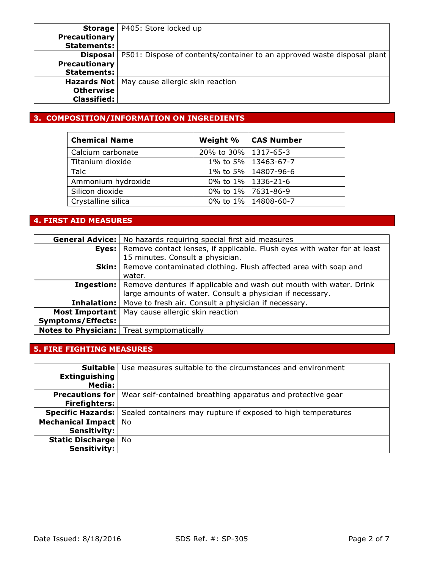| Storage              | P405: Store locked up                                                   |
|----------------------|-------------------------------------------------------------------------|
| <b>Precautionary</b> |                                                                         |
| <b>Statements:</b>   |                                                                         |
| <b>Disposal</b>      | P501: Dispose of contents/container to an approved waste disposal plant |
| <b>Precautionary</b> |                                                                         |
| <b>Statements:</b>   |                                                                         |
|                      | <b>Hazards Not</b>   May cause allergic skin reaction                   |
| <b>Otherwise</b>     |                                                                         |
| <b>Classified:</b>   |                                                                         |

## 3. COMPOSITION/INFORMATION ON INGREDIENTS

| <b>Chemical Name</b> | Weight %               | CAS Number            |
|----------------------|------------------------|-----------------------|
| Calcium carbonate    | 20% to 30%   1317-65-3 |                       |
| Titanium dioxide     |                        | 1% to 5% 13463-67-7   |
| Talc                 |                        | 1% to 5% 14807-96-6   |
| Ammonium hydroxide   |                        | 0% to 1%   1336-21-6  |
| Silicon dioxide      |                        | 0% to 1% 7631-86-9    |
| Crystalline silica   |                        | 0% to 1%   14808-60-7 |

## 4. FIRST AID MEASURES

|                          | <b>General Advice:</b>   No hazards requiring special first aid measures             |  |
|--------------------------|--------------------------------------------------------------------------------------|--|
| Eyes:                    | Remove contact lenses, if applicable. Flush eyes with water for at least             |  |
|                          | 15 minutes. Consult a physician.                                                     |  |
|                          | <b>Skin:</b> Remove contaminated clothing. Flush affected area with soap and         |  |
|                          | water.                                                                               |  |
|                          | <b>Ingestion:</b> Remove dentures if applicable and wash out mouth with water. Drink |  |
|                          | large amounts of water. Consult a physician if necessary.                            |  |
|                          | <b>Inhalation:</b>   Move to fresh air. Consult a physician if necessary.            |  |
| Most Important           | May cause allergic skin reaction                                                     |  |
| <b>Symptoms/Effects:</b> |                                                                                      |  |
|                          | <b>Notes to Physician:</b> Treat symptomatically                                     |  |

## 5. FIRE FIGHTING MEASURES

| <b>Suitable</b>         | Use measures suitable to the circumstances and environment                             |  |
|-------------------------|----------------------------------------------------------------------------------------|--|
| <b>Extinguishing</b>    |                                                                                        |  |
| Media:                  |                                                                                        |  |
| <b>Precautions for</b>  | Wear self-contained breathing apparatus and protective gear                            |  |
| <b>Firefighters:</b>    |                                                                                        |  |
|                         | <b>Specific Hazards:</b> Sealed containers may rupture if exposed to high temperatures |  |
| Mechanical Impact   No  |                                                                                        |  |
| <b>Sensitivity:</b>     |                                                                                        |  |
| <b>Static Discharge</b> | <b>No</b>                                                                              |  |
| <b>Sensitivity:</b>     |                                                                                        |  |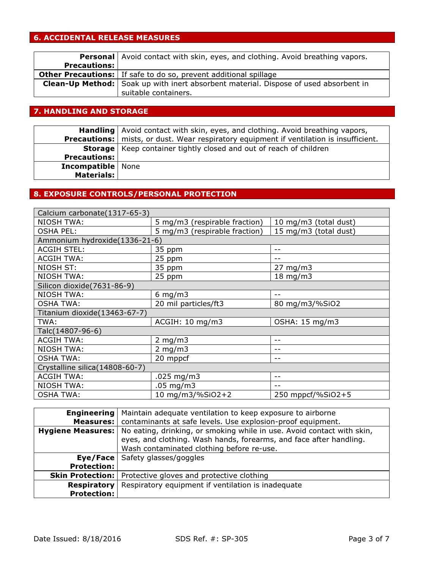## 6. ACCIDENTAL RELEASE MEASURES

|                     | <b>Personal</b> Avoid contact with skin, eyes, and clothing. Avoid breathing vapors.        |  |
|---------------------|---------------------------------------------------------------------------------------------|--|
| <b>Precautions:</b> |                                                                                             |  |
|                     | <b>Other Precautions:</b> If safe to do so, prevent additional spillage                     |  |
|                     | <b>Clean-Up Method:</b> Soak up with inert absorbent material. Dispose of used absorbent in |  |
|                     | suitable containers.                                                                        |  |

## 7. HANDLING AND STORAGE

|                            | <b>Handling</b> Avoid contact with skin, eyes, and clothing. Avoid breathing vapors,             |  |
|----------------------------|--------------------------------------------------------------------------------------------------|--|
|                            | <b>Precautions:</b>   mists, or dust. Wear respiratory equipment if ventilation is insufficient. |  |
|                            | <b>Storage</b>   Keep container tightly closed and out of reach of children                      |  |
| <b>Precautions:</b>        |                                                                                                  |  |
| <b>Incompatible</b>   None |                                                                                                  |  |
| Materials:                 |                                                                                                  |  |

## 8. EXPOSURE CONTROLS/PERSONAL PROTECTION

| Calcium carbonate (1317-65-3)   |                               |                       |
|---------------------------------|-------------------------------|-----------------------|
| <b>NIOSH TWA:</b>               | 5 mg/m3 (respirable fraction) | 10 mg/m3 (total dust) |
| <b>OSHA PEL:</b>                | 5 mg/m3 (respirable fraction) | 15 mg/m3 (total dust) |
| Ammonium hydroxide(1336-21-6)   |                               |                       |
| <b>ACGIH STEL:</b>              | 35 ppm                        | --                    |
| <b>ACGIH TWA:</b>               | 25 ppm                        |                       |
| NIOSH ST:                       | 35 ppm                        | $27 \text{ mg/m}$     |
| <b>NIOSH TWA:</b>               | 25 ppm                        | $18 \text{ mg/m}$     |
| Silicon dioxide(7631-86-9)      |                               |                       |
| <b>NIOSH TWA:</b>               | 6 mg/m $3$                    |                       |
| <b>OSHA TWA:</b>                | 20 mil particles/ft3          | 80 mg/m3/%SiO2        |
| Titanium dioxide(13463-67-7)    |                               |                       |
| TWA:                            | ACGIH: 10 mg/m3               | OSHA: 15 mg/m3        |
| Talc(14807-96-6)                |                               |                       |
| <b>ACGIH TWA:</b>               | 2 mg/m $3$                    | $ -$                  |
| <b>NIOSH TWA:</b>               | $2$ mg/m $3$                  |                       |
| <b>OSHA TWA:</b>                | 20 mppcf                      | --                    |
| Crystalline silica (14808-60-7) |                               |                       |
| <b>ACGIH TWA:</b>               | .025 mg/m3                    | --                    |
| <b>NIOSH TWA:</b>               | $.05$ mg/m3                   |                       |
| <b>OSHA TWA:</b>                | 10 mg/m3/%SiO2+2              | 250 mppcf/%SiO2+5     |

| <b>Engineering</b>       | Maintain adequate ventilation to keep exposure to airborne             |  |
|--------------------------|------------------------------------------------------------------------|--|
| Measures:                | contaminants at safe levels. Use explosion-proof equipment.            |  |
| <b>Hygiene Measures:</b> | No eating, drinking, or smoking while in use. Avoid contact with skin, |  |
|                          | eyes, and clothing. Wash hands, forearms, and face after handling.     |  |
|                          | Wash contaminated clothing before re-use.                              |  |
|                          | <b>Eye/Face</b> Safety glasses/goggles                                 |  |
| <b>Protection:</b>       |                                                                        |  |
| <b>Skin Protection:</b>  | Protective gloves and protective clothing                              |  |
| <b>Respiratory</b>       | Respiratory equipment if ventilation is inadequate                     |  |
| <b>Protection:</b>       |                                                                        |  |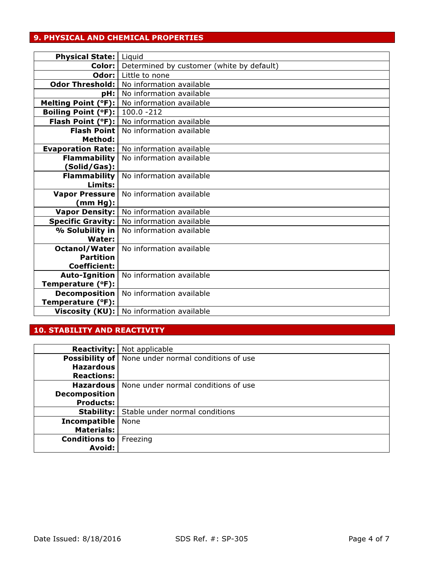## 9. PHYSICAL AND CHEMICAL PROPERTIES

| <b>Physical State:</b>                | Liquid                                         |
|---------------------------------------|------------------------------------------------|
| Color:                                | Determined by customer (white by default)      |
|                                       | <b>Odor:</b> Little to none                    |
| Odor Threshold:                       | No information available                       |
| pH:                                   | No information available                       |
|                                       | Melting Point (°F):   No information available |
| <b>Boiling Point (°F):</b> 100.0 -212 |                                                |
|                                       | Flash Point (°F):   No information available   |
| <b>Flash Point</b>                    | No information available                       |
| Method:                               |                                                |
| <b>Evaporation Rate:</b>              | No information available                       |
| <b>Flammability</b>                   | No information available                       |
| (Solid/Gas):                          |                                                |
| <b>Flammability</b>                   | No information available                       |
| Limits:                               |                                                |
| <b>Vapor Pressure</b>                 | No information available                       |
| (mm Hg):                              |                                                |
| Vapor Density:                        | No information available                       |
| <b>Specific Gravity:</b>              | No information available                       |
| % Solubility in                       | No information available                       |
| Water:                                |                                                |
| Octanol/Water                         | No information available                       |
| <b>Partition</b>                      |                                                |
| <b>Coefficient:</b>                   |                                                |
| Auto-Ignition                         | No information available                       |
| Temperature (°F):                     |                                                |
| <b>Decomposition</b>                  | No information available                       |
| Temperature (°F):                     |                                                |
| Viscosity (KU):                       | No information available                       |

# 10. STABILITY AND REACTIVITY

| <b>Reactivity:</b>   | Not applicable                                              |
|----------------------|-------------------------------------------------------------|
|                      | <b>Possibility of</b>   None under normal conditions of use |
| <b>Hazardous</b>     |                                                             |
| <b>Reactions:</b>    |                                                             |
|                      | <b>Hazardous</b>   None under normal conditions of use      |
| <b>Decomposition</b> |                                                             |
| <b>Products:</b>     |                                                             |
| Stability: $\vert$   | Stable under normal conditions                              |
| <b>Incompatible</b>  | None                                                        |
| <b>Materials:</b>    |                                                             |
| Conditions to        | Freezing                                                    |
| <b>Avoid:</b>        |                                                             |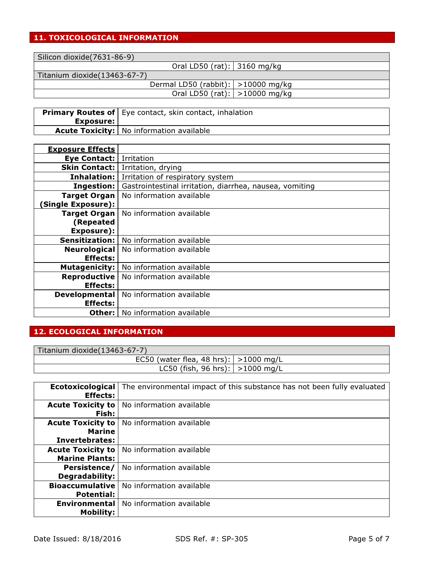## 11. TOXICOLOGICAL INFORMATION

Silicon dioxide(7631-86-9)

Oral LD50 (rat): 3160 mg/kg

Titanium dioxide(13463-67-7)

Dermal LD50 (rabbit): >10000 mg/kg Oral LD50 (rat): >10000 mg/kg

| Exposure: l | <b>Primary Routes of</b>   Eye contact, skin contact, inhalation |
|-------------|------------------------------------------------------------------|
|             | <b>Acute Toxicity:</b>   No information available                |

| <b>Exposure Effects</b>  |                                                         |
|--------------------------|---------------------------------------------------------|
| <b>Eye Contact:</b>      | Irritation                                              |
| <b>Skin Contact:</b>     | Irritation, drying                                      |
| Inhalation:              | Irritation of respiratory system                        |
| Ingestion:               | Gastrointestinal irritation, diarrhea, nausea, vomiting |
| <b>Target Organ</b>      | No information available                                |
| <b>Single Exposure):</b> |                                                         |
| <b>Target Organ</b>      | No information available                                |
| (Repeated                |                                                         |
| Exposure):               |                                                         |
| Sensitization:           | No information available                                |
| <b>Neurological</b>      | No information available                                |
| <b>Effects:</b>          |                                                         |
| <b>Mutagenicity:</b>     | No information available                                |
| Reproductive             | No information available                                |
| <b>Effects:</b>          |                                                         |
| <b>Developmental</b>     | No information available                                |
| <b>Effects:</b>          |                                                         |
| Other:                   | No information available                                |

## 12. ECOLOGICAL INFORMATION

| Titanium dioxide(13463-67-7)               |  |
|--------------------------------------------|--|
| EC50 (water flea, 48 hrs): $  > 1000$ mg/L |  |
| LC50 (fish, 96 hrs): $  > 1000$ mg/L       |  |

| Ecotoxicological<br><b>Effects:</b>                         | The environmental impact of this substance has not been fully evaluated |
|-------------------------------------------------------------|-------------------------------------------------------------------------|
| <b>Acute Toxicity to</b><br>Fish:                           | No information available                                                |
| <b>Acute Toxicity to</b><br><b>Marine</b><br>Invertebrates: | No information available                                                |
| <b>Acute Toxicity to</b><br><b>Marine Plants:</b>           | No information available                                                |
| Persistence/<br>Degradability:                              | No information available                                                |
| <b>Bioaccumulative</b><br><b>Potential:</b>                 | No information available                                                |
| <b>Environmental</b><br><b>Mobility:</b>                    | No information available                                                |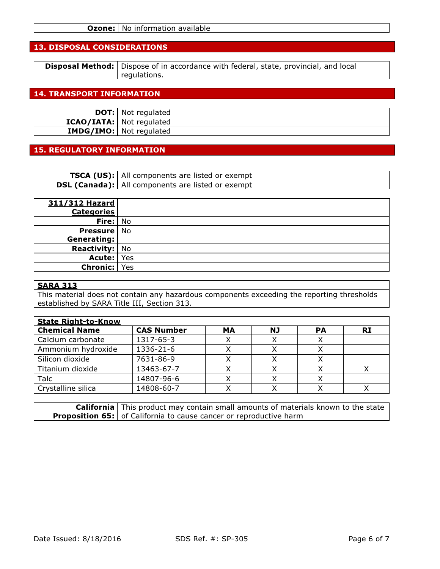#### 13. DISPOSAL CONSIDERATIONS

| <b>Disposal Method:</b> Dispose of in accordance with federal, state, provincial, and local |
|---------------------------------------------------------------------------------------------|
| regulations.                                                                                |

#### 14. TRANSPORT INFORMATION

| <b>DOT:</b> Not regulated       |
|---------------------------------|
| <b>ICAO/IATA:</b> Not regulated |
| <b>IMDG/IMO:</b> Not regulated  |

#### 15. REGULATORY INFORMATION

| <b>TSCA (US):</b> All components are listed or exempt    |
|----------------------------------------------------------|
| <b>DSL (Canada):</b> All components are listed or exempt |

| 311/312 Hazard        |     |
|-----------------------|-----|
| <b>Categories</b>     |     |
| Fire: No              |     |
| <b>Pressure</b>   No  |     |
| Generating:           |     |
| <b>Reactivity:</b> No |     |
| Acute:                | Yes |
| Chronic:              | Yes |

#### SARA 313

This material does not contain any hazardous components exceeding the reporting thresholds established by SARA Title III, Section 313.

| <b>State Right-to-Know</b> |                   |    |    |           |    |
|----------------------------|-------------------|----|----|-----------|----|
| <b>Chemical Name</b>       | <b>CAS Number</b> | MА | NJ | <b>PA</b> | RI |
| Calcium carbonate          | 1317-65-3         |    |    |           |    |
| Ammonium hydroxide         | 1336-21-6         |    |    |           |    |
| Silicon dioxide            | 7631-86-9         |    |    |           |    |
| Titanium dioxide           | 13463-67-7        |    |    |           |    |
| Talc                       | 14807-96-6        |    |    |           |    |
| Crystalline silica         | 14808-60-7        |    |    |           |    |

**California** | This product may contain small amounts of materials known to the state **Proposition 65:** of California to cause cancer or reproductive harm